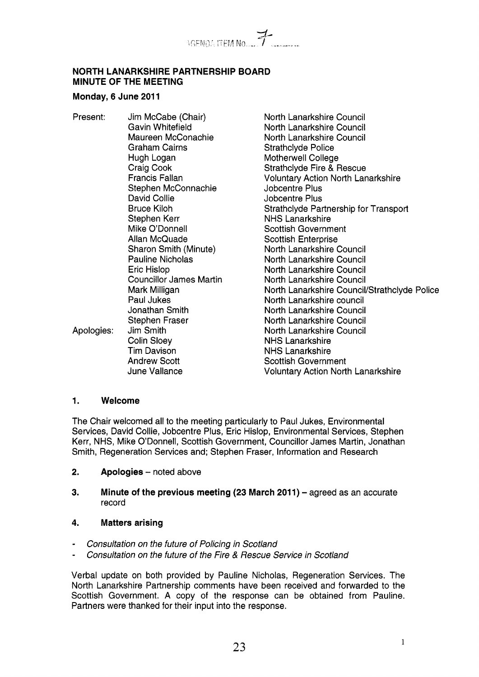

### **NORTH LANARKSHIRE PARTNERSHIP BOARD MINUTE OF THE MEETING**

#### **Monday, 6 June 201 1**

- Present: Jim McCabe (Chair) Gavin Whitefield Maureen McConachie Graham Cairns Hugh Logan Craig Cook Francis Fallan Stephen McConnachie David Collie Bruce Kiloh Stephen Kerr Mike O'Donnell Allan McQuade Sharon Smith (Minute) Pauline Nicholas Eric Hislop Councillor James Martin Mark Milligan Paul Jukes Jonathan Smith Stephen Fraser<br>Jim Smith Colin Sloey Tim Davison Andrew Scott June Vallance Apologies:
- North Lanarkshire Council North Lanarkshire Council North Lanarkshire Council Strathclyde Police Motherwell College Strathclyde Fire & Rescue Voluntary Action North Lanarkshire Jobcentre Plus Jobcentre Plus Strathclyde Partnership for Transport NHS Lanarkshire Scottish Government Scottish Enterprise North Lanarkshire Council North Lanarkshire Council North Lanarkshire Council North Lanarkshire Council North Lanarkshire CounciVStrathclyde Police North Lanarkshire council North Lanarkshire Council North Lanarkshire Council North Lanarkshire Council NHS Lanarkshire NHS Lanarkshire Scottish Government Voluntary Action North Lanarkshire

### **1. Welcome**

The Chair welcomed all to the meeting particularly to Paul Jukes, Environmental Services, David Collie, Jobcentre Plus, Eric Hislop, Environmental Services, Stephen Kerr, NHS, Mike O'Donnell, Scottish Government, Councillor James Martin, Jonathan Smith, Regeneration Services and; Stephen Fraser, Information and Research

- **2.** Apologies noted above
- **3. Minute of the previous meeting (23 March 2011)** agreed as an accurate record
- **4. Matters arising**
- *Consultation on the future of Policing in Scotland*
- *Consultation on the future of the Fire* & *Rescue Service in Scotland*

Verbal update on both provided by Pauline Nicholas, Regeneration Services. The North Lanarkshire Partnership comments have been received and forwarded to the Scottish Government. A copy of the response can be obtained from Pauline. Partners were thanked for their input into the response.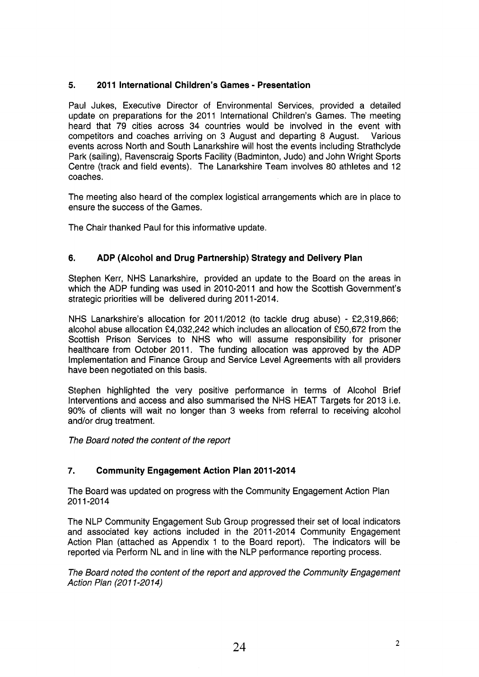# **5. 201 1 International Children's Games** - **Presentation**

Paul Jukes, Executive Director of Environmental Services, provided a detailed update on preparations for the 2011 International Children's Games. The meeting heard that 79 cities across 34 countries would be involved in the event with competitors and coaches arriving on 3 August and departing 8 August. Various events across North and South Lanarkshire will host the events including Strathclyde Park (sailing), Ravenscraig Sports Facility (Badminton, Judo) and John Wright Sports Centre (track and field events). The Lanarkshire Team involves 80 athletes and 12 coaches.

The meeting also heard of the complex logistical arrangements which are in place to ensure the success of the Games.

The Chair thanked Paul for this informative update.

# **6. ADP (Alcohol and Drug Partnership) Strategy and Delivery Plan**

Stephen Kerr, NHS Lanarkshire, provided an update to the Board on the areas in which the ADP funding was used in 2010-2011 and how the Scottish Government's strategic priorities will be delivered during 2011-2014.

NHS Lanarkshire's allocation for 2011/2012 (to tackle drug abuse) - £2,319,866; alcohol abuse allocation €4,032,242 which includes an allocation of €50,672 from the Scottish Prison Services to NHS who will assume responsibility for prisoner healthcare from October 2011. The funding allocation was approved by the ADP Implementation and Finance Group and Service Level Agreements with all providers have been negotiated on this basis.

Stephen highlighted the very positive performance in terms of Alcohol Brief Interventions and access and also summarised the NHS HEAT Targets for 2013 i.e. 90% of clients will wait no longer than 3 weeks from referral to receiving alcohol and/or drug treatment.

*The Board noted the content of the report* 

# **7. Community Engagement Action Plan 201 1-2014**

The Board was updated on progress with the Community Engagement Action Plan 201 1-2014

The NLP Community Engagement Sub Group progressed their set of local indicators and associated key actions included in the 2011-2014 Community Engagement Action Plan (attached as Appendix 1 to the Board report). The indicators will be reported via Perform NL and in line with the NLP performance reporting process.

*The Board noted the content of the report and approved the Community Engagement Action Plan (20 1 1-20 14)*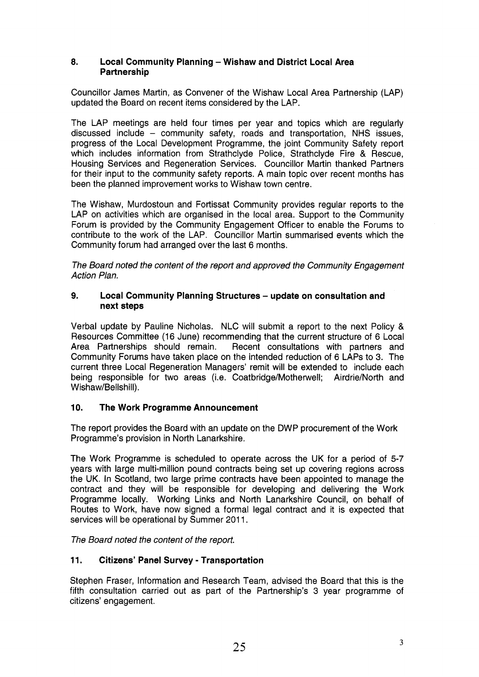### *8.* **Local Community Planning** - **Wishaw and District Local Area Partnership**

Councillor James Martin, as Convener of the Wishaw Local Area Partnership (LAP) updated the Board on recent items considered by the LAP.

The LAP meetings are held four times per year and topics which are regularly discussed include - community safety, roads and transportation, NHS issues, progress of the Local Development Programme, the joint Community Safety report which includes information from Strathclyde Police, Strathclyde Fire & Rescue, Housing Services and Regeneration Services. Councillor Martin thanked Partners for their input to the community safety reports. A main topic over recent months has been the planned improvement works to Wishaw town centre.

The Wishaw, Murdostoun and Fortissat Community provides regular reports to the LAP on activities which are organised in the local area. Support to the Community Forum is provided by the Community Engagement Officer to enable the Forums to contribute to the work of the LAP. Councillor Martin summarised events which the Community forum had arranged over the last 6 months.

*The Board noted the content of the report and approved the Community Engagement Action Plan.* 

#### **9. Local Community Planning Structures** - **update on consultation and next steps**

Verbal update by Pauline Nicholas. NLC will submit a report to the next Policy & Resources Committee (16 June) recommending that the current structure of 6 Local Area Partnerships should remain. Recent consultations with partners and Community Forums have taken place on the intended reduction of 6 LAPS to 3. The current three Local Regeneration Managers' remit will be extended to include each being responsible for two areas (i.e. Coatbridge/MotherwelI; Airdrie/North and Wishaw/Bellshill).

# **10. The Work Programme Announcement**

The report provides the Board with an update on the DWP procurement of the Work Programme's provision in North Lanarkshire.

The Work Programme is scheduled to operate across the UK for a period of *5-7*  years with large multi-million pound contracts being set up covering regions across the UK. In Scotland, two large prime contracts have been appointed to manage the contract and they will be responsible for developing and delivering the Work Programme locally. Working Links and North Lanarkshire Council, on behalf of Routes to Work, have now signed a formal legal contract and it is expected that services will be operational by Summer 2011.

*The Board noted the content of the report.* 

### **11. Citizens' Panel Survey** - **Transportation**

Stephen Fraser, Information and Research Team, advised the Board that this is the fifth consultation carried out as part of the Partnership's 3 year programme of citizens' engagement.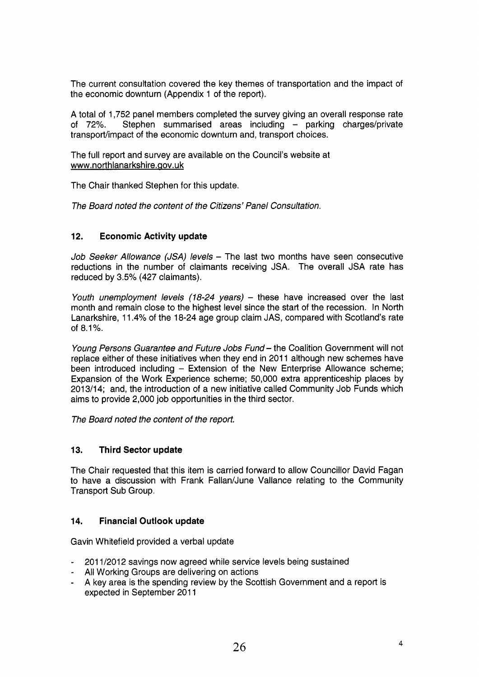The current consultation covered the key themes of transportation and the impact of the economic downturn (Appendix 1 of the report).

A total of 1,752 panel members completed the survey giving an overall response rate of 72%. Stephen summarised areas including - parking charges/private transport/impact of the economic downturn and, transport choices.

The full report and survey are available on the Council's website at [www.northlanarkshire.aov.uk](http://www.northlanarkshire.aov.uk) 

The Chair thanked Stephen for this update.

*The Board noted the content of the Citizens' Panel Consultation.* 

# **12. Economic Activity update**

*Job Seeker Allowance (JSA) levels - The last two months have seen consecutive* reductions in the number of claimants receiving JSA. The overall JSA rate has reduced by 3.5% (427 claimants).

*Youth unemployment levels (78-24 years)* - these have increased over the last month and remain close to the highest level since the start of the recession. In North Lanarkshire, 11.4% of the 18-24 age group claim JAS, compared with Scotland's rate of 8.1 %.

*Young Persons Guarantee and Future Jobs Fund-* the Coalition Government will not replace either of these initiatives when they end in 2011 although new schemes have been introduced including - Extension of the New Enterprise Allowance scheme; Expansion of the Work Experience scheme; 50,000 extra apprenticeship places by 2013/14; and, the introduction of a new initiative called Community Job Funds which aims to provide 2,000 job opportunities in the third sector.

*The Board noted the content of the report.* 

# **13. Third Sector update**

The Chair requested that this item is carried forward to allow Councillor David Fagan to have a discussion with Frank Fallan/June Vallance relating to the Community Transport Sub Group.

# **14. Financial Outlook update**

Gavin Whitefield provided a verbal update

- 201 1/2012 savings now agreed while service levels being sustained
- All Working Groups are delivering on actions
- A key area is the spending review by the Scottish Government and a report is expected in September 2011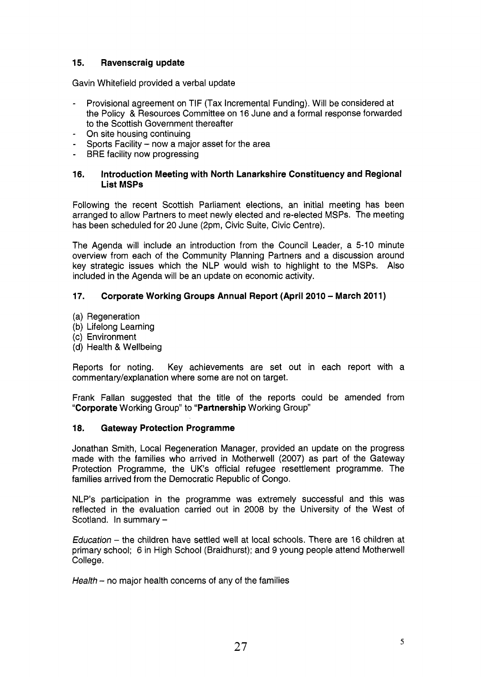# **15. Ravenscraig update**

Gavin Whitefield provided a verbal update

- Provisional agreement on TIF (Tax Incremental Funding). Will be considered at the Policy & Resources Committee on 16 June and a formal response forwarded to the Scottish Government thereafter
- On site housing continuing
- Sports Facility  $-$  now a major asset for the area -
- BRE facility now progressing

### **16. Introduction Meeting with North Lanarkshire Constituency and Regional List MSPs**

Following the recent Scottish Parliament elections, an initial meeting has been arranged to allow Partners to meet newly elected and re-elected MSPs. The meeting has been scheduled for 20 June (2pm, Civic Suite, Civic Centre).

The Agenda will include an introduction from the Council Leader, a 5-10 minute overview from each of the Community Planning Partners and a discussion around key strategic issues which the NLP would wish to highlight to the MSPs. Also included in the Agenda will be an update on economic activity.

# **17. Corporate Working Groups Annual Report (April 2010** - **March 2011)**

- (a) Regeneration
- (b) Lifelong Learning
- (c) Environment
- (d) Health & Wellbeing

Reports for noting. Key achievements are set out in each report with a commentary/explanation where some are not on target.

Frank Fallan suggested that the title of the reports could be amended from **'Corporate** Working Group" to **"Partnership** Working Group"

### **18. Gateway Protection Programme**

Jonathan Smith, Local Regeneration Manager, provided an update on the progress made with the families who arrived in Motherwell (2007) as part of the Gateway Protection Programme, the UK's official refugee resettlement programme. The families arrived from the Democratic Republic of Congo.

NLP's participation in the programme was extremely successful and this was reflected in the evaluation carried out in 2008 by the University of the West of Scotland. In summary -

*Education* - the children have settled well at local schools. There are 16 children at primary school; 6 in High School (Braidhurst); and 9 young people attend Motherwell College.

*Health* - no major health concerns of any of the families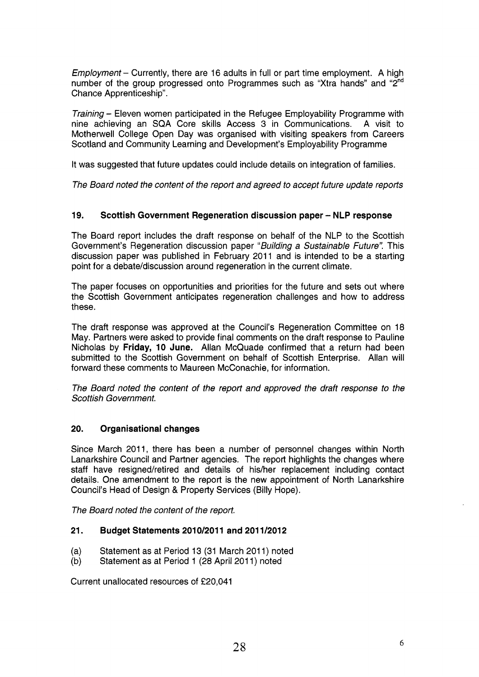*Employment* – Currently, there are 16 adults in full or part time employment. A high number of the group progressed onto Programmes such as "Xtra hands" and "2<sup>nd</sup> Chance Apprenticeship".

*Training* – Eleven women participated in the Refugee Employability Programme with nine achieving an SQA Core skills Access 3 in Communications. A visit to nine achieving an SQA Core skills Access 3 in Communications. Motherwell College Open Day was organised with visiting speakers from Careers Scotland and Community Learning and Development's Employability Programme

It was suggested that future updates could include details on integration of families.

*The Board noted the content of the report and agreed to accept future update reports* 

### **19. Scottish Government Regeneration discussion paper** - **NLP response**

The Board report includes the draft response on behalf of the NLP to the Scottish Government's Regeneration discussion paper *"Building a Sustainable Future".* This discussion paper was published in February 2011 and is intended to be a starting point for a debate/discussion around regeneration in the current climate.

The paper focuses on opportunities and priorities for the future and sets out where the Scottish Government anticipates regeneration challenges and how to address these.

The draft response was approved at the Council's Regeneration Committee on 18 May. Partners were asked to provide final comments on the draft response to Pauline Nicholas by **Friday, 10 June.** Allan McQuade confirmed that a return had been submitted to the Scottish Government on behalf of Scottish Enterprise. Allan will forward these comments to Maureen McConachie, for information.

*The Board noted the content of the report and approved the draft response to the Scottish Government.* 

#### **20. Organisational changes**

Since March 2011, there has been a number of personnel changes within North Lanarkshire Council and Partner agencies. The report highlights the changes where staff have resigned/retired and details of his/her replacement including contact details. One amendment to the report is the new appointment of North Lanarkshire Council's Head of Design &. Property Services (Billy Hope).

*The Board noted the content of the report.* 

#### **21. Budget Statements 2010/2011 and 201 1/2012**

- (a) Statement as at Period 13 (31 March 2011) noted
- (b) Statement as at Period 1 (28 April 2011) noted

Current unallocated resources of €20,041